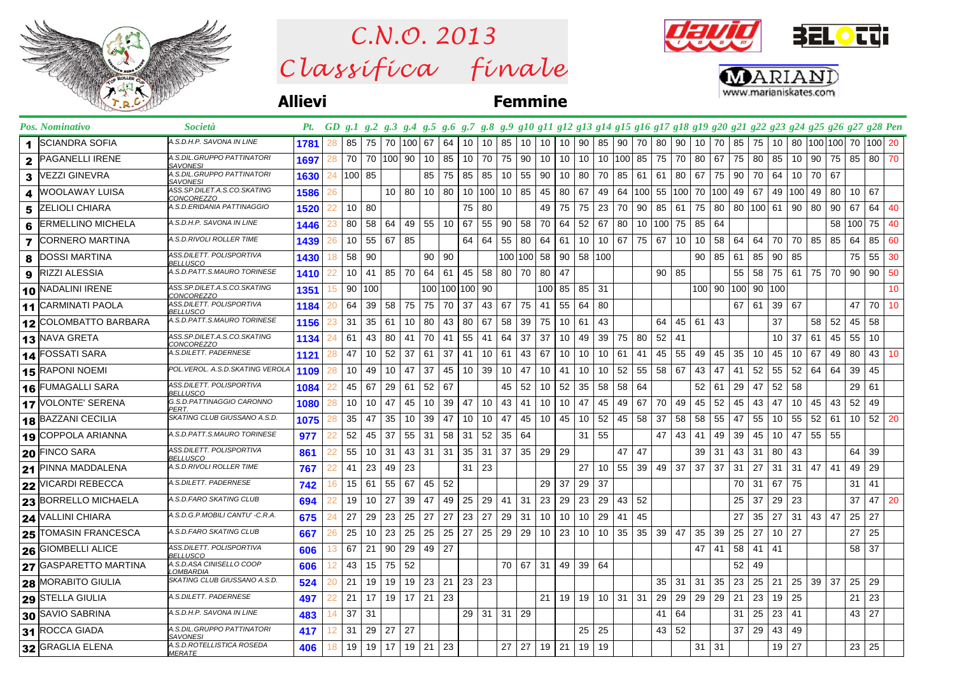

 $\emph{Classifica}$  finale *C.N.O. 2013*





**Allievi Femmine**

|                | Pos. Nominativo              | <i>Società</i>                                   |      |    |                 |              |        |                 |            |                |                 |        |                 |            |                 |                 |        |                 |     |        |           |                 |         |     |               |     |                 |          |    |                | Pt. GD g.1 g.2 g.3 g.4 g.5 g.6 g.7 g.8 g.9 g10 g11 g12 g13 g14 g15 g16 g17 g18 g19 g20 g21 g22 g23 g24 g25 g26 g27 g28 Pen |     |     |
|----------------|------------------------------|--------------------------------------------------|------|----|-----------------|--------------|--------|-----------------|------------|----------------|-----------------|--------|-----------------|------------|-----------------|-----------------|--------|-----------------|-----|--------|-----------|-----------------|---------|-----|---------------|-----|-----------------|----------|----|----------------|----------------------------------------------------------------------------------------------------------------------------|-----|-----|
| 1              | <b>SCIANDRA SOFIA</b>        | A.S.D.H.P. SAVONA IN LINE                        | 1781 | 28 | 85              | 75           |        | 70 100 67       |            | 64             | 10              | 10     | 85              | 10         | 10              | 10              | 90     | 85              | 90  | 70     | -80       | 90              | 10      | 70  | 85 75         |     | 10              |          |    | 80   100   100 | 70 100 20                                                                                                                  |     |     |
| $\mathbf{2}$   | <b>PAGANELLI IRENE</b>       | A.S.DIL.GRUPPO PATTINATORI<br><b>SAVONESI</b>    | 1697 | 28 |                 | 70 70        | 100 90 |                 | 10         | 85             | 10              | 70     | 75              | 90         | 10              | 10              | 10     | 10              | 100 | 85     | 75        | 70              | 80      | 67  | 75            | 80  | 85              | 10       | 90 | 75             | 85 80 70                                                                                                                   |     |     |
| 3              | <b>VEZZI GINEVRA</b>         | A.S.DIL.GRUPPO PATTINATORI<br><b>SAVONESI</b>    | 1630 | 24 | 100 85          |              |        |                 | 85         | 75             | 85              | 85     | 10              | 55         | 90              | 10              | 80     | 70              | 85  | 61     | -61       | 80              | 67      | 75  | 90 70         |     | 64              | 10       | 70 | 67             |                                                                                                                            |     |     |
| 4              | <b>WOOLAWAY LUISA</b>        | ASS.SP.DILET.A.S.CO.SKATING<br><u>CONCOREZZO</u> | 1586 | 26 |                 |              |        | 10   80         | 10   80    |                |                 | 10 100 | 10   85         |            | 45              | 80              | 67     | 49              | 64  | 100 55 |           | 100 70          |         | 100 | 49 67         |     | 49              | $100$ 49 |    | 80             | 10   67                                                                                                                    |     |     |
| 5              | <b>ZELIOLI CHIARA</b>        | A.S.D.ERIDANIA PATTINAGGIO                       | 1520 | 22 |                 | 10 80        |        |                 |            |                | 75              | 80     |                 |            | 49              | 75              | 75     | -23             | 70  | 90     | 85        | 61              | 75      | 80  | 80   100   61 |     |                 | 90       | 80 | 90             | 67                                                                                                                         | 64  | -40 |
| 6              | <b>ERMELLINO MICHELA</b>     | A.S.D.H.P. SAVONA IN LINE                        | 1446 | 23 | 80              | 58           | 64     | 49              | 55         | 10             | 67              | 55     | 90              | 58         | 70              | 64              | 52     | 67              | 80  |        | 10 100 75 |                 | 85      | 64  |               |     |                 |          |    | 58             | 100 75                                                                                                                     |     | -40 |
| $\overline{7}$ | <b>CORNERO MARTINA</b>       | A.S.D.RIVOLI ROLLER TIME                         | 1439 | 26 |                 | $10 \mid 55$ | 67     | 85              |            |                | 64 I            | 64     | 55              | 80 64      |                 | 61              | 10     | 10              | 67  | 75 67  |           | 10 <sup>°</sup> | 10      | 58  | 64 I          | 64  | 70              | 70 85    |    | 85             | 64                                                                                                                         | 85  | 60  |
| 8              | <b>DOSSI MARTINA</b>         | ASS.DILETT. POLISPORTIVA<br>BELLUSCO             | 1430 | 18 | 58 90           |              |        |                 |            | 90 90          |                 |        |                 | 100 100 58 |                 | 90              | 58 100 |                 |     |        |           |                 | 90      | 85  | 61            | 85  | 90              | 85       |    |                | 75 55 30                                                                                                                   |     |     |
|                | 9 RIZZI ALESSIA              | A.S.D.PATT.S.MAURO TORINESE                      | 1410 |    | 10              | 41           | 85     | 70 64           |            | 61             | 45 58           |        | 80 l            | 70 80      |                 | 47              |        |                 |     |        | 90   85   |                 |         |     | 55 58         |     | 75              | 61   75  |    | 70             | 90   90   50                                                                                                               |     |     |
|                | 10 NADALINI IRENE            | ASS.SP.DILET.A.S.CO.SKATING<br>CONCOREZZO        | 1351 | 15 |                 | 90 100       |        |                 |            | 100 100 100 90 |                 |        |                 |            | 100             | 85              | 85     | -31             |     |        |           |                 | 100 90  |     | 100 90 100    |     |                 |          |    |                |                                                                                                                            |     | 10  |
|                | 11 CARMINATI PAOLA           | ASS.DILETT. POLISPORTIVA<br><b>BELLUSCO</b>      | 1184 | 20 | 64              | 39           | 58     | 75              | 75         | 70             | -37             | 43     | 67              | 75         | -41             | 55              | 64     | 80              |     |        |           |                 |         |     | 67   61       |     | 39              | 67       |    |                | 47                                                                                                                         | 70  | 10  |
|                | <b>12 COLOMBATTO BARBARA</b> | A.S.D.PATT.S.MAURO TORINESE                      | 1156 | 23 | 31              | 35           | 61     | 10 <sup>1</sup> | 80         | 43             | 80              | 67     | 58              | 39         | 75              | 10              | 61     | 43              |     |        | 64        | 45 61           |         | 43  |               |     | 37              |          | 58 | 52             | 45 58                                                                                                                      |     |     |
|                | 13 NAVA GRETA                | ASS.SP.DILET.A.S.CO.SKATING<br><i>CONCOREZZO</i> | 1134 | 24 | 61              | 43           | 80     | 41              | 70         | 41             | 55              | 41     | 64              | 37         | 37              | 10              | 49     | 39              | 75  | 80     | 52        | 41              |         |     |               |     | 10              | 37       | 61 | 45             | 55 10                                                                                                                      |     |     |
|                | 14 FOSSATI SARA              | A.S.DILETT. PADERNESE                            | 1121 | 28 | 47              | 10           | 52     | 37              | 61         | 37             | -41             | 10     | 61              | 43         | 67              | 10              | 10     | 10              | -61 | 41     | 45        | 55              | 49      | 45  | 35            | 10  | 45              | 10       | 67 | 49             | 80                                                                                                                         | 43  | -10 |
|                | 15 RAPONI NOEMI              | POL.VEROL. A.S.D.SKATING VEROLA                  | 1109 | 28 | 10              | 49           | 10     | 47              | 37         | 45             | 10 <sup>1</sup> | 39     | 10 <sup>1</sup> | 47         | 10              | 41              | 10     | 10              | 52  | 55     | 58 67     |                 | 43      | 47  | 41            | 52  | 55              | 52       | 64 | 64             | 39                                                                                                                         | 45  |     |
|                | 16 FUMAGALLI SARA            | ASS.DILETT. POLISPORTIVA<br><b>BELLUSCO</b>      | 1084 |    | 45              | 67           | 29     | 61              | 52         | 67             |                 |        | 45              | 52         | 10 <sup>°</sup> | 52              | 35     | 58              | 58  | 64     |           |                 | 52      | 61  | 29            | 47  | 52              | 58       |    |                | 29                                                                                                                         | 61  |     |
|                | 17 VOLONTE' SERENA           | G.S.D.PATTINAGGIO CARONNO<br>PERT.               | 1080 | 28 | 10              | 10           | 47     | 45              | 10         | 39             | 47              | 10     | 43              | 41         | 10              | 10 <sup>°</sup> | 47     | 45              | 49  | 67     | 70        | 49              | 45      | 52  | 45            | 43  | 47              | 10       | 45 | 43             | 52                                                                                                                         | -49 |     |
|                | 18 BAZZANI CECILIA           | SKATING CLUB GIUSSANO A.S.D.                     | 1075 | 28 | 35              | 47           | 35     | 10              | 39         | 47             | 10              | 10     | 47              | 45         | 10              | 45              | 10     | 52              | 45  | 58     | 37        | 58              | 58      | 55  | 47            | 55  | 10              | 55       | 52 | 61             | 10   52                                                                                                                    |     | -20 |
|                | 19 COPPOLA ARIANNA           | A.S.D.PATT.S.MAURO TORINESE                      | 977  | 22 | 52              | 45           | 37     |                 | 55 31      | 58             | -31             | 52     | 35              | 64         |                 |                 | 31     | 55              |     |        | 47        | 43              | -41     | 49  | 39            | 45  | 10              | 47       | 55 | 55             |                                                                                                                            |     |     |
|                | 20 FINCO SARA                | ASS.DILETT. POLISPORTIVA<br>BELLUSCO             | 861  | 22 | 55              | 10           | 31     | 43              | 31         | 31             | 35              | 31     | 37              |            | 35 29           | 29              |        |                 | 47  | 47     |           |                 | 39      | 31  | 43            | 31  | 80              | 43       |    |                | 64                                                                                                                         | 39  |     |
|                | 21 PINNA MADDALENA           | A.S.D.RIVOLI ROLLER TIME                         | 767  | 22 | 41              | 23           | 49     | 23              |            |                | 31              | 23     |                 |            |                 |                 | 27     | 10              | 55  | 39     | 49        | 37              | 37      | 37  | 31            | 27  | 31              | 31       | 47 | 41             | 49                                                                                                                         | -29 |     |
|                | 22 VICARDI REBECCA           | A.S.DILETT. PADERNESE                            | 742  | 16 | 15              | 61           | 55     | 67              | 45         | 52             |                 |        |                 |            | 29              | 37              | 29     | -37             |     |        |           |                 |         |     | 70            | 31  | 67              | 75       |    |                | 31                                                                                                                         | 41  |     |
|                | 23 BORRELLO MICHAELA         | A.S.D.FARO SKATING CLUB                          | 694  | 22 | 19              | 10           | 27     | 39              | 47         | 49             | 25              | 29     | 41              | 31         | 23              | 29              | 23     | 29              | 43  | 52     |           |                 |         |     | 25            | -37 | 29              | 23       |    |                | 37                                                                                                                         | 47  | 20  |
|                | 24 VALLINI CHIARA            | A.S.D.G.P.MOBILI CANTU' -C.R.A.                  | 675  | 24 | 27              | -29          | 23     | 25              | 27         | 27             | 23              | 27     | 29              | 31         | 10              | 10              | 10     | 29              | 41  | 45     |           |                 |         |     | 27            | 35  | 27              | 31       | 43 | 47             | $25 \mid 27$                                                                                                               |     |     |
|                | 25 TOMASIN FRANCESCA         | A.S.D.FARO SKATING CLUB                          | 667  | 26 | 25              | 10           | 23     | 25              | 25         | 25             | 27              | 25     |                 | $29$ 29    | 10              | 23              | 10     | 10 <sup>1</sup> | 35  | 35     | 39        | 47              | 35      | 39  | 25            | 27  | 10 <sup>°</sup> | 27       |    |                | 27                                                                                                                         | 25  |     |
|                | 26 GIOMBELLI ALICE           | ASS.DILETT. POLISPORTIVA<br><b>BELLUSCO</b>      | 606  | 13 | 67              | 21           | 90     |                 | 29 49 27   |                |                 |        |                 |            |                 |                 |        |                 |     |        |           |                 | 47      | 41  | 58 41 41      |     |                 |          |    |                | 58 37                                                                                                                      |     |     |
|                | 27 GASPARETTO MARTINA        | A.S.D.ASA CINISELLO COOP<br>OMBARDIA             | 606  | 12 | 43              | 15           | 75     | 52              |            |                |                 |        | 70 l            | 67         | 31              | 49              | 39     | 64              |     |        |           |                 |         |     | 52            | 49  |                 |          |    |                |                                                                                                                            |     |     |
|                | 28 MORABITO GIULIA           | SKATING CLUB GIUSSANO A.S.D.                     | 524  | 20 | 21              | 19           | 19     | 19 <sup>1</sup> | 23         | 21             | 23 23           |        |                 |            |                 |                 |        |                 |     |        | 35        | -31             | 31      | 35  | 23            | 25  | 21              | 25       | 39 | 37             | 25 29                                                                                                                      |     |     |
|                | 29 STELLA GIULIA             | A.S.DILETT. PADERNESE                            | 497  | 22 |                 | $21 \mid 17$ | 19     |                 | $17$ 21 23 |                |                 |        |                 |            | 21              | 19              | 19     | $10$ 31 31      |     |        | 29        | 29              | 29      | 29  | 21            | 23  | 19              | 25       |    |                | 21                                                                                                                         | 23  |     |
|                | 30 SAVIO SABRINA             | A.S.D.H.P. SAVONA IN LINE                        | 483  | 14 | 37              | 31           |        |                 |            |                |                 | 29 31  | 31              | 29         |                 |                 |        |                 |     |        | 41        | 64              |         |     | $31 \mid 25$  |     | 23              | 41       |    |                | 43 27                                                                                                                      |     |     |
|                | 31 ROCCA GIADA               | A.S.DIL.GRUPPO PATTINATORI<br>SAVONESI           | 417  | 12 | 31              | 29           | 27     | 27              |            |                |                 |        |                 |            |                 |                 | 25     | 25              |     |        | 43 52     |                 |         |     | 37            | 29  | 43              | 49       |    |                |                                                                                                                            |     |     |
|                | 32 GRAGLIA ELENA             | A.S.D.ROTELLISTICA ROSEDA<br><i>MERATE</i>       | 406  | 18 | 19 <sup>1</sup> | 19           | 17     |                 | 19   21    | 23             |                 |        | 27              | 27         | 19 I            | 21              | 19     | 19              |     |        |           |                 | 31   31 |     |               |     | 19              | 27       |    |                | $23 \mid 25$                                                                                                               |     |     |
|                |                              |                                                  |      |    |                 |              |        |                 |            |                |                 |        |                 |            |                 |                 |        |                 |     |        |           |                 |         |     |               |     |                 |          |    |                |                                                                                                                            |     |     |